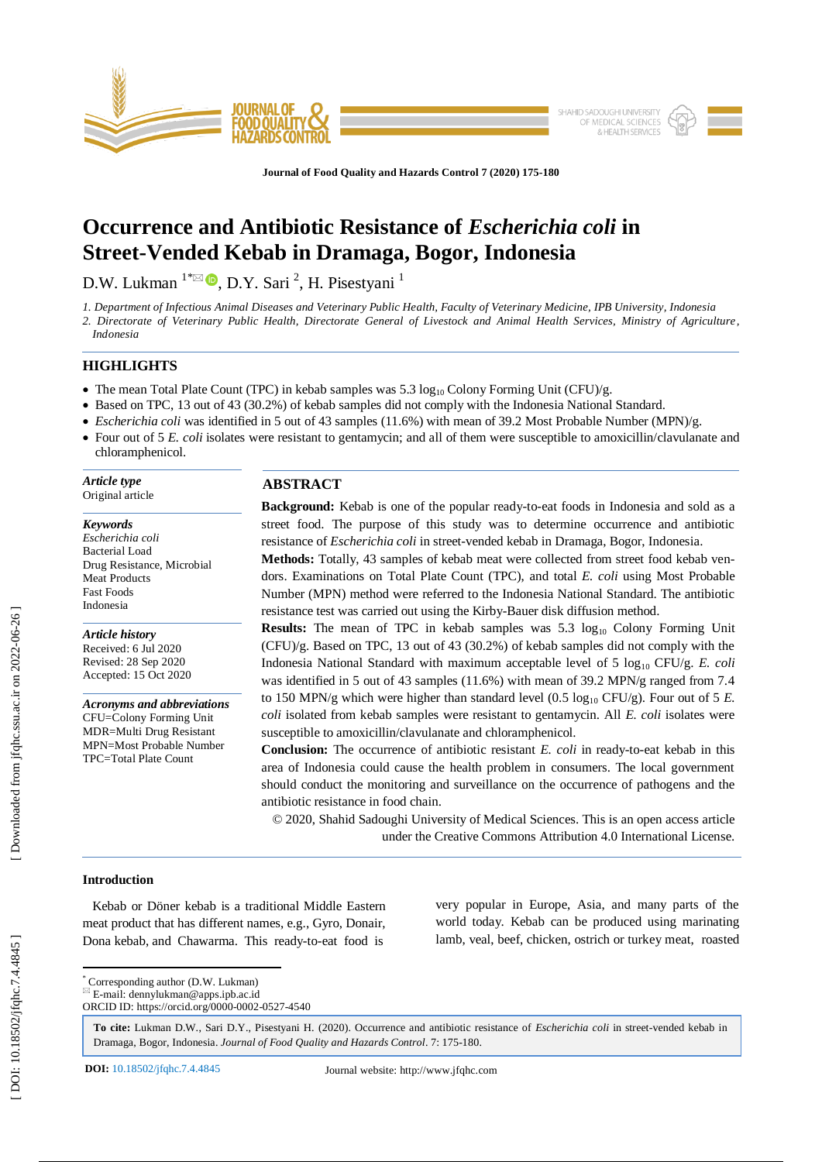

**Journal of Food Quality and Hazards Control 7 (2020) 175 - 180**

# **Occurrence and Antibiotic Resistance of** *Escherichia coli* **in Street -Vended Kebab in Dramaga, Bogor, Indonesia**

D.W. Lukman  $^{1*}\boxtimes$   $\bullet$ , D.Y. Sari  $^{2}$ , H. Pisestyani  $^{1}$ 

*1. Department of Infectious Animal Diseases and Veterinary Public Health, Faculty of Veterinary Medicine, IPB University, Indonesia 2. Directorate of Veterinary Public Health, Directorate General of Livestock and Animal Health Services, Ministry of Agriculture, Indonesia*

# **HIGHLIGHTS**

- The mean Total Plate Count (TPC) in kebab samples was  $5.3 \log_{10}$  Colony Forming Unit (CFU)/g.
- Based on TPC, 13 out of 43 (30.2%) of kebab samples did not comply with the Indonesia National Standard.
- *Escherichia coli* was identified in 5 out of 43 samples (11.6%) with mean of 39.2 Most Probable Number (MPN)/g.
- Four out of 5 *E. coli* isolates were resistant to gentamycin; and all of them were susceptible to amoxicillin/clavulanate and chloramphenicol .

*Article type* Original article

#### *Keywords*

*Escherichia coli* Bacterial Load Drug Resistance, Microbial Meat Products Fast Foods Indonesia

*Article history* Received: 6 Jul 2020 Revised: 28 Sep 2020 Accepted: 1 5 Oct 2020

*Acronyms and abbreviations* CFU=Colony Forming Unit MDR=Multi Drug Resistant MPN=Most Probable Number TPC=Total Plate Count

# **ABSTRACT**

Background: Kebab is one of the popular ready-to-eat foods in Indonesia and sold as a street food. The purpose of this study was to determine occurrence and antibiotic resistance of *Escherichia coli* in street -vended kebab in Dramaga, Bogor, Indonesia . **Methods:** Totally, 43 samples of kebab meat were collected from street food kebab ven-

dors. Examinations on Total Plate Count (TPC), and total *E. coli* using Most Probable Number (MPN) method were referred to the Indonesia National Standard. The antibiotic resistance test was carried out using the Kirby -Bauer disk diffusion method.

**Results:** The mean of TPC in kebab samples was 5.3 log<sub>10</sub> Colony Forming Unit  $(CFU)/g$ . Based on TPC, 13 out of 43 (30.2%) of kebab samples did not comply with the Indonesia National Standard with maximum acceptable level of 5 log<sub>10</sub> CFU/g. *E. coli* was identified in 5 out of 43 samples (11.6%) with mean of 39.2 MPN/g ranged from 7.4 to 150 MPN/g which were higher than standard level  $(0.5 \log_{10} CFU/g)$ . Four out of 5 E. *coli* isolated from kebab samples were resistant to gentamycin. All *E. coli* isolates were susceptible to amoxicillin/clavulanate and chloramphenicol.

**Conclusion:** The occurrence of antibiotic resistant *E. coli* in ready-to-eat kebab in this area of Indonesia could cause the health problem in consumers. The local government should conduct the monitoring and surveillance on the occurrence of pathogens and the antibiotic resistance in food chain.

© 2020, Shahid Sadoughi University of Medical Sciences. This is an open access article under the Creative Commons Attribution 4.0 International License.

# **Introduction**

 Kebab or Döner kebab is a traditional Middle Eastern meat product that has different names, e.g., Gyro, Donair, Dona kebab, and Chawarma. This ready -to -eat food is very popular in Europe, Asia, and many parts of the world today. Kebab can be produced using marinating lamb, veal, beef, chicken, ostrich or turkey meat, roasted

\* Corresponding author (D.W. Lukman)

**To cite:** Lukman D.W., Sari D.Y., Pisestyani H. (2020). Occurrence and antibiotic resistance of *Escherichia coli* in street -vended kebab in Dramaga, Bogor, Indonesia. Journal of Food Quality and Hazards Control. 7: 175-180.

 $E = \text{mail: }$ dennylukman@apps.ipb.ac.id ORCID ID: https://orcid.org/0000 -0002 -0527 -4540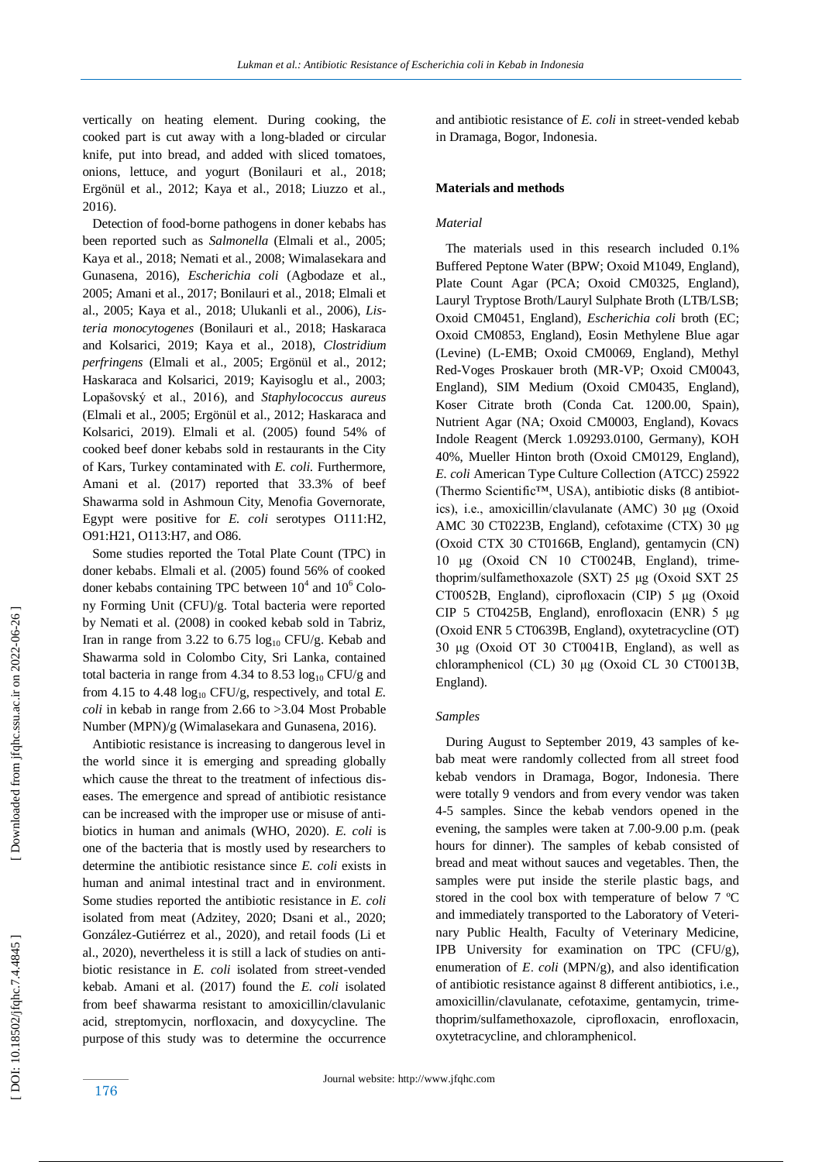vertically on heating element. During cooking, the cooked part is cut away with a long -bladed or circular knife, put into bread, and added with sliced tomatoes, onions, lettuce, and yogurt (Bonilauri et al., 2018; Ergönül et al., 2012; Kaya et al., 2018; Liuzzo et al., 2016).

 Detection of food -borne pathogens in doner kebabs has been reported such as *Salmonella* (Elmali et al., 2005; Kaya et al., 2018; Nemati et al., 2008; Wimalasekara and Gunasena, 2016), *Escherichia coli* (Agbodaze et al., 2005; Amani et al., 2017; Bonilauri et al., 2018; Elmali et al., 2005; Kaya et al., 2018; Ulukanli et al., 2006), *Listeria monocytogenes* (Bonilauri et al., 2018; Haskaraca and Kolsarici, 2019; Kaya et al., 2018), *Clostridium perfringens* (Elmali et al., 2005; Ergönül et al., 2012; Haskaraca and Kolsarici, 2019; Kayisoglu et al., 2003; Lopašovský et al., 2016), and *Staphylococcus aureus* (Elmali et al., 2005; Ergönül et al., 2012; Haskaraca and Kolsarici, 2019). Elmali et al. (2005) found 54% of cooked beef doner kebabs sold in restaurants in the City of Kars, Turkey contaminated with *E. coli*. Furthermore, Amani et al. (2017) reported that 33.3% of beef Shawarma sold in Ashmoun City, Menofia Governorate, Egypt were positive for *E. coli* serotypes O111:H2, O91:H21, O113:H7, and O86.

 Some studies reported the Total Plate Count (TPC) in doner kebabs. Elmali et al. (2005) found 56% of cooked doner kebabs containing TPC between  $10^4$  and  $10^6$  Colony Forming Unit (CFU)/g. Total bacteria were reported by Nemati et al. (2008) in cooked kebab sold in Tabriz, Iran in range from 3.22 to 6.75  $log_{10}$  CFU/g. Kebab and Shawarma sold in Colombo City, Sri Lanka, contained total bacteria in range from 4.34 to 8.53  $log_{10}$  CFU/g and from 4.15 to 4.48  $log_{10}$  CFU/g, respectively, and total *E*. *coli* in kebab in range from 2.66 to >3.04 Most Probable Number (MPN)/g (Wimalasekara and Gunasena, 2016).

 Antibiotic resistance is increasing to dangerous level in the world since it is emerging and spreading globally which cause the threat to the treatment of infectious diseases. The emergence and spread of antibiotic resistance can be increased with the improper use or misuse of antibiotics in human and animals (WHO, 2020). *E. coli* is one of the bacteria that is mostly used by researchers to determine the antibiotic resistance since *E. coli* exists in human and animal intestinal tract and in environment. Some studies reported the antibiotic resistance in *E. coli* isolated from meat (Adzitey, 2020; Dsani et al., 2020; González -Gutiérrez et al., 2020), and retail foods (Li et al., 2020), nevertheless it is still a lack of studies on antibiotic resistance in *E. coli* isolated from street-vended kebab. Amani et al. (2017) found the *E. coli* isolated from beef shawarma resistant to amoxicillin/clavulanic acid, streptomycin, norfloxacin, and doxycycline. The purpose of this study was to determine the occurrence

and antibiotic resistance of *E. coli* in street -vended kebab in Dramaga, Bogor, Indonesia .

#### **Materials and methods**

#### *Material*

 The materials used in this research included 0.1% Buffered Peptone Water (BPW; Oxoid M1049, England), Plate Count Agar (PCA; Oxoid CM0325, England), Lauryl Tryptose Broth/Lauryl Sulphate Broth (LTB/LSB; Oxoid CM0451, England), *Escherichia coli* broth (EC; Oxoid CM0853, England), Eosin Methylene Blue agar (Levine) (L -EMB; Oxoid CM0069, England), Methyl Red -Voges Proskauer broth (MR -VP; Oxoid CM0043, England), SIM Medium (Oxoid CM0435, England), Koser Citrate broth (Conda Cat. 1200.00, Spain), Nutrient Agar (NA; Oxoid CM0003, England), Kovacs Indole Reagent (Merck 1.09293.0100, Germany), KOH 40%, Mueller Hinton broth (Oxoid CM0129, England), *E. coli* American Type Culture Collection (ATCC) 25922 (Thermo Scientific™, USA), antibiotic disk s (8 antibiotics), i.e., amoxicillin/clavulanate (AMC) 30 μg (Oxoid AMC 30 CT0223B, England), cefotaxime (CTX) 30 μg (Oxoid CTX 30 CT0166B, England), gentamycin (CN) 10 μg (Oxoid CN 10 CT0024B, England), trimethoprim/sulfamethoxazole (SXT) 25 μg (Oxoid SXT 25 CT0052B, England), ciprofloxacin (CIP) 5 μg (Oxoid CIP 5 CT0425B, England), enrofloxacin (ENR) 5 μg (Oxoid ENR 5 CT0639B, England), oxytetracycline (OT) 30 μg (Oxoid OT 30 CT0041B, England), as well as chloramphenicol (CL) 30 μg (Oxoid CL 30 CT0013B, England).

# *Samples*

 During August to September 2019, 43 samples of kebab meat were randomly collected from all street food kebab vendors in Dramaga, Bogor, Indonesia. There were totally 9 vendors and from every vendor was taken 4-5 samples. Since the kebab vendors opened in the eve ning, the samples were taken at 7.00 -9.00 p.m. (peak hours for dinner). The samples of kebab consisted of bread and meat without sauces and vegetables. Then, the samples were put inside the sterile plastic bags, and stored in the cool box with temperature of below 7 ºC and immediately transported to the Laboratory of Veterinary Public Health, Faculty of Veterinary Medicine, IPB University for examination on TPC (CFU/g), enumeration of *E. coli* (MPN/g), and also identification of antibiotic resistance against 8 different antibiotics, i.e., amoxicillin/clavulanate, cefotaxime, gentamycin, trimethoprim/sulfamethoxazole, ciprofloxacin, enrofloxacin, oxytetracycline, and chloramphenicol.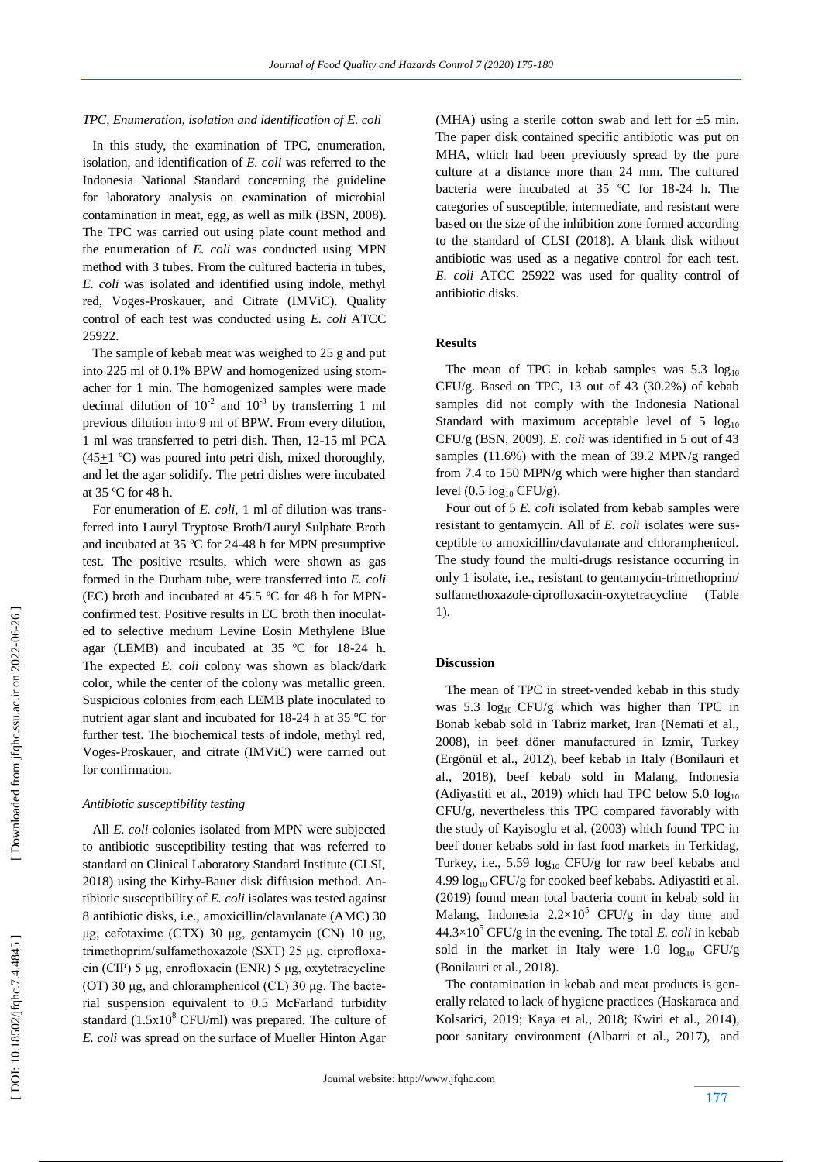#### *TPC, Enumeration, isolation and identification of E. coli*

 In this study, the examination of TPC, enumeration, isolation, and identification of *E. coli* was referred to the Indonesia National Standard concerning the guideline for laboratory analysis on examination of microbial contamination in meat, egg, as well as milk (BSN, 2008). The TPC was carried out using plate count method and the enumeration of *E. coli* was conducted using MPN method with 3 tubes. From the cultured bacteria in tubes, *E. coli* was isolated and identified using indole, methyl red, Voges -Proskauer, and Citrate (IMViC). Quality control of each test was conducted using *E. coli* ATCC 25922.

 The sample of kebab meat was weighed to 25 g and put into 225 ml of 0.1% BPW and homogenized using stomacher for 1 min. The homogenized samples were made decimal dilution of  $10^{-2}$  and  $10^{-3}$  by transferring 1 ml previous dilution into 9 ml of BPW. From every dilution, 1 ml was transferred to petri dish. Then, 12 -15 ml PCA  $(45+1$  °C) was poured into petri dish, mixed thoroughly, and let the agar solidify. The petri dishes were incubated at 35 ºC for 48 h.

 For enumeration of *E. coli*, 1 ml of dilution was transferred into Lauryl Tryptose Broth/Lauryl Sulphate Broth and incubated at 35 ºC for 24 -48 h for MPN presumptive test. The positive results, which were shown as gas formed in the Durham tube, were transferred into *E. coli*  (EC) broth and incubated at 45.5 ºC for 48 h for MPN confirmed test. Positive results in EC broth then inoculated to selective medium Levine Eosin Methylene Blue agar (LEMB) and incubated at 35 ºC for 18 -24 h. The expected *E. coli* colony was shown as black/dark color, while the center of the colony was metallic green. Suspicious colonies from each LEMB plate inoculated to nutrient agar slant and incubated for 18 -24 h at 35 ºC for further test. The biochemical tests of indole, methyl red, Voges -Proskauer, and citrate (IMViC) were carried out for confirmation.

#### *Antibiotic susceptibility testing*

 All *E. coli* colonies isolated from MPN were subjected to antibiotic susceptibility testing that was referred to standard on Clinical Laboratory Standard Institute (CLSI, 2018) using the Kirby -Bauer disk diffusion method. Antibiotic susceptibility of *E. coli* isolates was tested against 8 antibiotic disks, i.e., amoxicillin/clavulanate (AMC) 30 μg, cefotaxime (CTX) 30 μg, gentamycin (CN) 10 μg, trimethoprim/sulfamethoxazole (SXT) 25 μg, ciprofloxacin (CIP) 5 μg, enrofloxacin (ENR) 5 μg, oxytetracycline (OT) 30 μg, and chloramphenicol (CL) 30 μg. The bacterial suspension equivalent to 0.5 McFarland turbidity standard  $(1.5x10<sup>8</sup> CFU/ml)$  was prepared. The culture of *E. coli* was spread on the surface of Mueller Hinton Agar

(MHA) using a sterile cotton swab and left for  $\pm 5$  min. The paper disk contained specific antibiotic was put on MHA, which had been previously spread by the pure culture at a distance more than 24 mm. The cultured bacteria were incubated at 35 ºC for 18 -24 h. The categories of susceptible, intermediate, and resistant were based on the size of the inhibition zone formed according to the standard of CLSI (2018). A blank disk without antibiotic was used as a negative control for each test. *E. coli* ATCC 25922 was used for quality control of antibiotic disks.

# **Results**

The mean of TPC in kebab samples was  $5.3 \log_{10}$ CFU/g. Based on TPC,  $13$  out of  $43$   $(30.2\%)$  of kebab samples did not comply with the Indonesia National Standard with maximum acceptable level of 5  $log_{10}$ CFU/g (BSN, 2009). *E. coli* was identified in 5 out of 43 samples (11.6%) with the mean of 39.2 MPN/g ranged from 7.4 to 150 MPN/g which were higher than standard level  $(0.5 \log_{10} CFU/g)$ .

 Four out of 5 *E. coli* isolated from kebab samples were resistant to gentamycin. All of *E. coli* isolates were susceptible to amoxicillin/clavulanate and chloramphenicol. The study found the multi -drugs resistance occurring in only 1 isolate, i.e., resistant to gentamycin -trimethoprim/ sulfamethoxazole -ciprofloxacin -oxytetracycline (Table 1).

# **Discussion**

 The mean of TPC in street -vended kebab in this study was 5.3  $log_{10}$  CFU/g which was higher than TPC in Bonab kebab sold in Tabriz market, Iran (Nemati et al., 2008), in beef döner manufactured in Izmir, Turkey (Ergönül et al., 2012), beef kebab in Italy (Bonilauri et al., 2018), beef kebab sold in Malang, Indonesia (Adiyastiti et al., 2019) which had TPC below  $5.0 \log_{10}$ CFU/g, nevertheless this TPC compared favorably with the study of Kayisoglu et al. (2003) which found TPC in beef doner kebabs sold in fast food markets in Terkidag, Turkey, i.e., 5.59  $log_{10}$  CFU/g for raw beef kebabs and 4.99 log<sub>10</sub> CFU/g for cooked beef kebabs. Adiyastiti et al. (2019) found mean total bacteria count in kebab sold in Malang, Indonesia  $2.2 \times 10^5$  CFU/g in day time and  $44.3 \times 10^5$  CFU/g in the evening. The total *E. coli* in kebab sold in the market in Italy were 1.0  $log_{10}$  CFU/g (Bonilauri et al., 2018).

 The contamination in kebab and meat products is generally related to lack of hygiene practices (Haskaraca and Kolsarici, 2019; Kaya et al. , 2018; Kwiri et al., 2014), poor sanitary environment (Albarri et al., 2017), and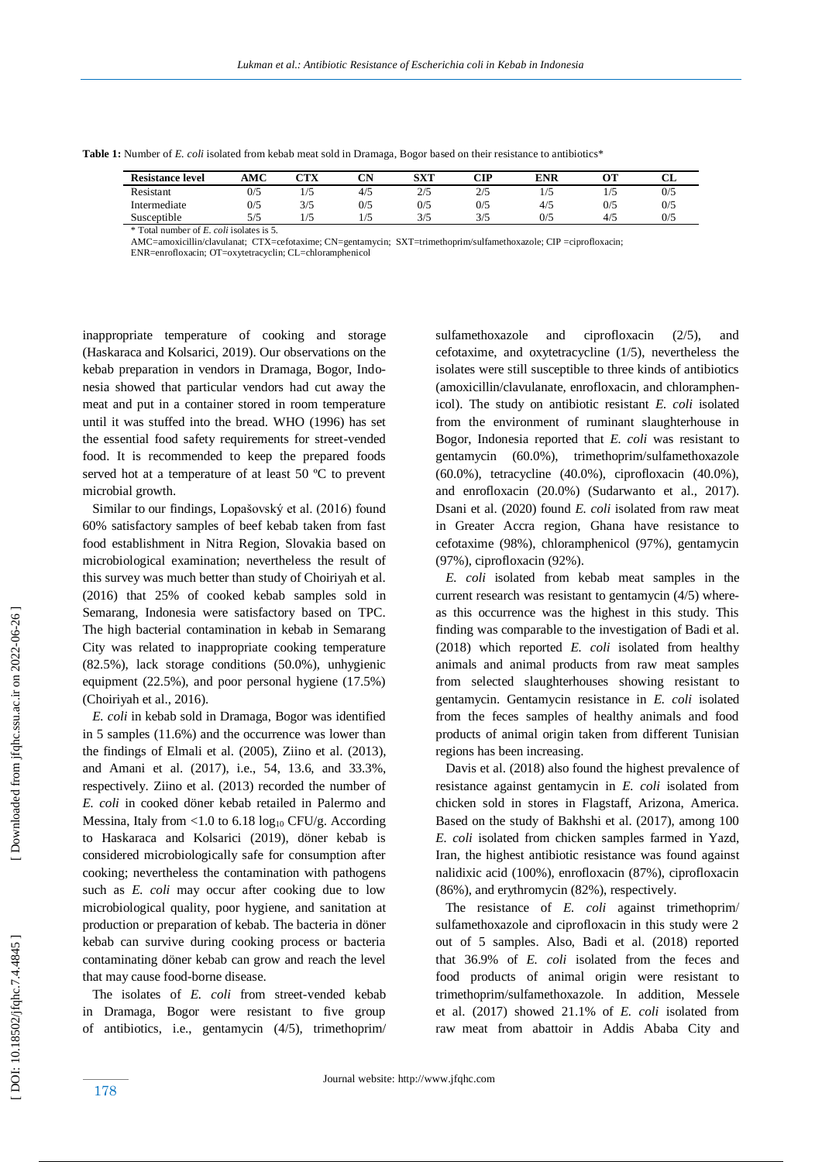| <b>Resistance level</b> | AMC | $\mathbb C\mathbf{T}\mathbf{X}$ | $\sim$<br>ິ | SXT         | $\cap$ tp   | ENR   |     | u   |
|-------------------------|-----|---------------------------------|-------------|-------------|-------------|-------|-----|-----|
| Resistant               | 0/5 | $\frac{1}{2}$                   | 4/5         | 2/5<br>۔ اپ | 2/5<br>ں اے | 1 / J |     | 0/5 |
| Intermediate            | 0/5 | 3/5                             | 0/5         | 0/5         | 0/5         | 4/5   | 0/5 | 0/5 |
| Susceptible             | 5/5 |                                 |             | 3/5         | 3/5         | 0/5   | 4/5 | 0/5 |

**Table 1:** Number of *E. coli* isolated from kebab meat sold in Dramaga, Bogor based on their resistance to antibiotics\*

\* Total number of *E. coli* isolates is 5.

AMC=amoxicillin/clavulanat; CTX=cefotaxime; CN=gentamycin; SXT=trimethoprim/sulfamethoxazole; CIP =ciprofloxacin;

ENR=enrofloxacin; OT=oxytetracyclin; CL=chloramphenicol

inappropriate temperature of cooking and storage (Haskaraca and Kolsarici, 2019). Our observations on the kebab preparation in vendors in Dramaga, Bogor, Indonesia showed that particular vendors had cut away the meat and put in a container stored in room temperature until it was stuffed into the bread. WHO (1996) has set the essential food safety requirements for street -vended food. It is recommended to keep the prepared foods served hot at a temperature of at least 50 ºC to prevent microbial growth.

 Similar to our findings, Lopašovský et al. (2016) found 60% satisfactory samples of beef kebab taken from fast food establishment in Nitra Region, Slovakia based on microbiological examination; nevertheless the result of this survey was much better than study of Choiriyah et al. (2016) that 25% of cooked kebab samples sold in Semarang, Indonesia were satisfactory based on TPC. The high bacterial contamination in kebab in Semarang City was related to inappropriate cooking temperature (82.5%), lack storage conditions (50.0%), unhygienic equipment (22.5%), and poor personal hygiene (17.5%) (Choiriyah et al., 2016).

 *E. coli* in kebab sold in Dramaga, Bogor was identified in 5 samples (11.6%) and the occurrence was lower than the findings of Elmali et al. (2005), Ziino et al. (2013), and Amani et al. (2017), i.e., 54, 13.6, and 33.3%, respectively. Ziino et al. (2013) recorded the number of *E. coli* in cooked döner kebab retailed in Palermo and Messina, Italy from <1.0 to 6.18  $log_{10}$  CFU/g. According to Haskaraca and Kolsarici (2019), döner kebab is considered microbiologically safe for consumption after cooking; nevertheless the contamination with pathogens such as *E. coli* may occur after cooking due to low microbiological quality, poor hygiene, and sanitation at production or preparation of kebab. The bacteria in döner kebab can survive during cooking process or bacteria contaminating döner kebab can grow and reach the level that may cause food -borne disease.

 The isolates of *E. coli* from street -vended kebab in Dramaga, Bogor were resistant to five group of antibiotics, i.e., gentamycin (4/5), trimethoprim/

sulfamethoxazole and ciprofloxacin (2/5), and cefotaxime, and oxytetracycline (1/5), nevertheless the isolates were still susceptible to three kinds of antibiotics (amoxicillin/clavulanate, enrofloxacin, and chloramphenicol). The study on antibiotic resistant *E. coli* isolated from the environment of ruminant slaughterhouse in Bogor, Indonesia reported that *E. coli* was resistant to gentamycin (60.0%), trimethoprim/sulfamethoxazole (60.0%), tetracycline (40.0%), ciprofloxacin (40.0%), and enrofloxacin (20.0%) (Sudarwanto et al., 2017). Dsani et al. (2020) found *E. coli* isolated from raw meat in Greater Accra region, Ghana have resistance to cefotaxime (98%), chloramphenicol (97%), gentamycin (97%), ciprofloxacin (92%).

 *E. coli* isolated from kebab meat samples in the current research was resistant to gentamycin (4/5) whereas this occurrence was the highest in this study. This fin ding was comparable to the investigation of Badi et al. (2018) which reported *E. coli* isolated from healthy animals and animal products from raw meat samples from selected slaughterhouses showing resistant to gentamycin. Gentamycin resistance in *E. coli* isolated from the feces samples of healthy animals and food products of animal origin taken from different Tunisian regions has been increasing.

 Davis et al. (2018) also found the highest prevalence of resistance against gentamycin in *E. coli* isolated from chicken sold in stores in Flagstaff, Arizona, America. Based on the study of Bakhshi et al. (2017), among 100 *E. coli* isolate d from chicken samples farmed in Yazd, Iran, the highest antibiotic resistance was found against nalidixic acid (100%), enrofloxacin (87%), ciprofloxacin (86%), and erythromycin (82%), respectively.

The resistance of *E. coli* against trimethoprim/ sulfamethoxazole and ciprofloxacin in this study were 2 out of 5 samples. Also, Badi et al. (2018) reported that 36.9% of *E. coli* isolated from the feces and food products of animal origin were resistant to trimethoprim/sulfamethoxazole. In addition, Messele et al. (2017) showed 21.1% of *E. coli* isolated from raw meat from abattoir in Addis Ababa City and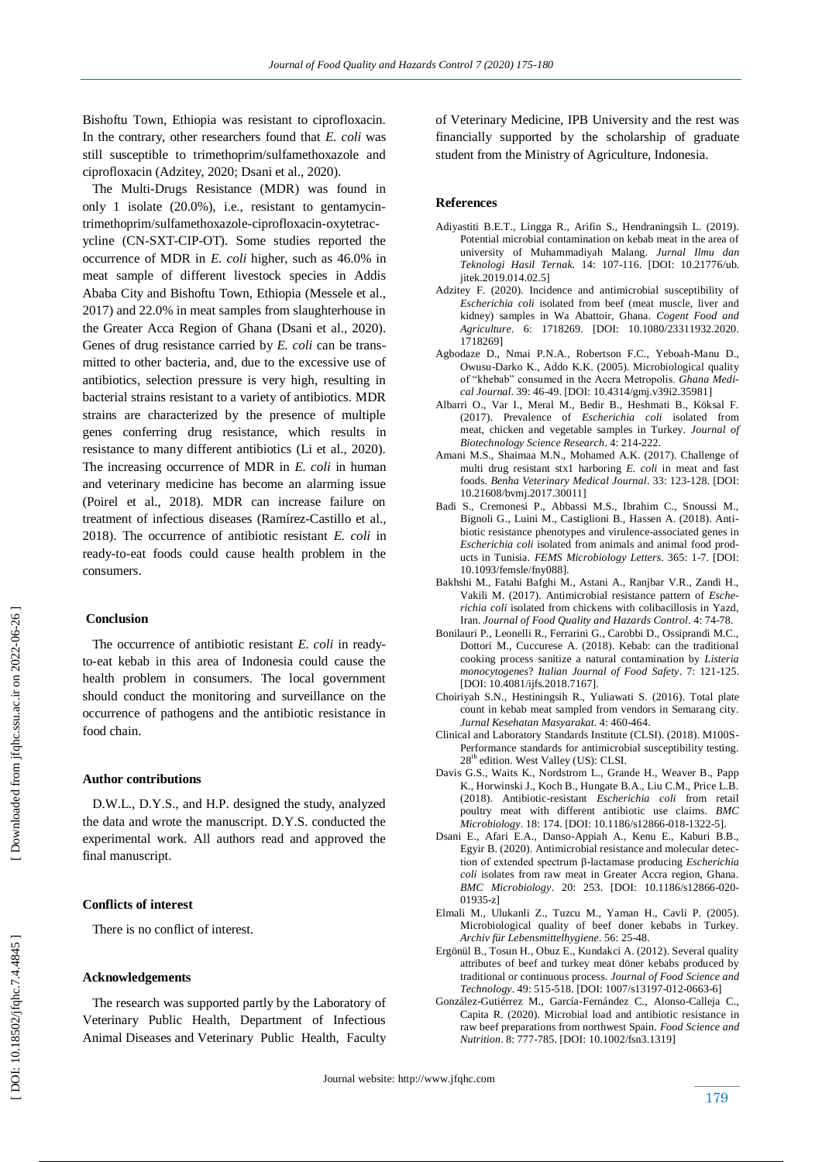Bishoftu Town, Ethiopia was resistant to ciprofloxacin. In the contrary, other researchers found that *E. coli* was still susceptible to trimethoprim/sulfamethoxazole and ciprofloxacin (Adzitey, 2020; Dsani et al., 2020).

 The Multi -Drugs Resistance (MDR) was found in only 1 isolate (20.0%), i.e., resistant to gentamycin trimethoprim/sulfamethoxazole -ciprofloxacin -oxytetrac ycline (CN -SXT -CIP -OT). Some studies reported the occurrence of MDR in *E. coli* higher, such as 46.0% in meat sample of different livestock species in Addis Ababa City and Bishoftu Town, Ethiopia (Messele et al., 2017) and 22.0% in meat samples from slaughterhouse in the Greater Acca Region of Ghana (Dsani et al., 2020). Genes of drug resistance carried by *E. coli* can be transmitted to other bacteria, and, due to the excessive use of antibiotics, selection pressure is very high, resulting in bacterial strains resistant to a variety of antibiotics. MDR strains are characterized by the presence of multiple genes conferring drug resistance, which results in resistance to many different antibiotics (Li et al., 2020). The increasing occurrence of MDR in *E. coli* in human and veterinary medicine has become an alarming issue (Poirel et al., 2018). MDR can increase failure on treatment of infectious diseases (Ramírez -Castillo et al., 2018). The occurrence of antibiotic resistant *E. coli* in ready -to -eat food s could cause health problem in the consumers.

# **Conclusion**

The occurrence of antibiotic resistant *E. coli* in readyto -eat kebab in this area of Indonesia could cause the health problem in consumers. The local government should conduct the monitoring and surveillance on the occurrence of pathogens and the antibiotic resistance in food chain.

# **Author contributions**

 D.W.L., D.Y.S., and H.P. designed the study, analyzed the data and wrote the manuscript. D.Y.S. conducted the experimental work. All authors read and approved the final manuscript.

# **Conflicts of interest**

There is no conflict of interest.

#### **Acknowledgements**

 The research was supported partly by the Laboratory of Veterinary Public Health, Department of Infectious Animal Diseases and Veterinary Public Health, Faculty of Veterinary Medicine, IPB University and the rest was financially supported by the scholarship of graduate student from the Ministry of Agriculture, Indonesia.

#### **Reference s**

- Adiyastiti B.E.T., Lingga R., Arifin S., Hendraningsih L. (2019). Potential microbial contamination on kebab meat in the area of university of Muhammadiyah Malang. *Jurnal Ilmu dan Teknologi Hasil Ternak.* 14: 107 -116. [\[DOI: 10.21776/u](https://doi.org/10.21776/)b. jitek.2019.014.02.5]
- Adzitey F. (2020). Incidence and antimicrobial susceptibility of *Escherichia coli* isolated from beef (meat muscle, liver and kidney) samples in Wa Abattoir, Ghana. *Cogent Food and Agriculture*. 6: 1718269. [DOI: 10.1080/23311932.2020. 1718269]
- Agbodaze D., Nmai P.N.A., Robertson F.C., Yeboah -Manu D., Owusu -Darko K., Addo K.K. (2005). Microbiological quality of "khebab" consumed in the Accra Metropolis. *Ghana Medical Journal*. 39: 46-49. [DOI: [10.4314/gmj.v39i2.35981\]](https://dx.doi.org/10.4314%2Fgmj.v39i2.35981)
- Albarri O., Var I., Meral M., Bedir B., Heshmati B., Köksal F. (2017). Prevalence of *Escherichia coli* isolated from meat, chicken and vegetable samples in Turkey. *Journal of Biotechnology Science Research*. 4: 214 -222.
- Amani M.S., Shaimaa M.N., Mohamed A.K. (2017). Challenge of multi drug resistant stx1 harboring *E. coli* in meat and fast foods. *Benha Veterinary Medical Journal*. 33: 123 -128. [DOI: 10.21608/bvmj.2017.30011]
- Badi S., Cremonesi P., Abbassi M.S., Ibrahim C., Snoussi M., Bignoli G., Luini M., Castiglioni B., Hassen A. (2018). Antibiotic resistance phenotypes and virulence-associated genes in *Escherichia coli* isolated from animals and animal food products in Tunisia. *FEMS Microbiology Letters*. 365: 1-7. [DOI: 10.1093/femsle/fny088].
- Bakhshi M., Fatahi Bafghi M., Astani A., Ranjbar V.R., Zandi H., Vakili M. (2017). Antimicrobial resistance pattern of *Escherichia coli* isolated from chickens with colibacillosis in Yazd, Iran. *Journal of Food Quality and Hazards Control*. 4: 74 -78.
- Bonilauri P., Leonelli R., Ferrarini G., Carobbi D., Ossiprandi M.C., Dottori M., Cuccurese A. (2018). Kebab: can the traditional cooking process sanitize a natural contamination by *Listeria monocytogenes*? *Italian Journal of Food Safety*. 7: 121 -125. [DOI: 10.4081/ijfs.2018.7167].
- Choiriyah S.N., Hestiningsih R., Yuliawati S. (2016). Total plate count in kebab meat sampled from vendors in Semarang city. *Jurnal Kesehatan Masyarakat*. 4: 460 -464.
- Clinical and Laboratory Standards Institute (CLSI). (2018). M100S Performance standards for antimicrobial susceptibility testing. 28<sup>th</sup> edition. West Valley (US): CLSI.
- Davis G.S., Waits K., Nordstrom L., Grande H., Weaver B., Papp K., Horwinski J., Koch B., Hungate B.A., Liu C.M., Price L.B. (2018). Antibiotic -resistant *Escherichia coli* from retail poultry meat with different antibiotic use claims. *BMC*  Microbiology. 18: 174. [DOI[: 10.1186/s12866](file:///D:/PUBLIKASI%20KEBAB%20JURNAL%202020/10.1186/s12866-018-1322-5)-018-1322-5].
- Dsani E., Afari E.A., Danso -Appiah A., Kenu E., Kaburi B.B., Egyir B. (2020). Antimicrobial resistance and molecular detection of extended spectrum β-lactamase producing *Escherichia coli* isolates from raw meat in Greater Accra region, Ghana. *BMC Microbiology*. 20: 253. [DOI: 10.1186/s12866 -020 - 01935 -z]
- Elmali M., Ulukanli Z., Tuzcu M., Yaman H., Cavli P. (2005). Microbiological quality of beef doner kebabs in Turkey. *Archiv für Lebensmittelhygiene .* 56: 25 -48.
- Ergönül B., Tosun H., Obuz E., Kundakci A. (2012). Several quality attributes of beef and turkey meat döner kebabs produced by traditional or continuous process. *Journal of Food Science and Technology*. 49: 515 -518. [DOI: 1007/s13197 -012 -0663 -6]
- González-Gutiérrez M., García-Fernández C., Alonso-Calleja C., Capita R. (2020). Microbial load and antibiotic resistance in raw beef preparations from northwest Spain. *Food Science and Nutrition*. 8: 777 -785. [DOI : 10.1002/fsn3.1319]